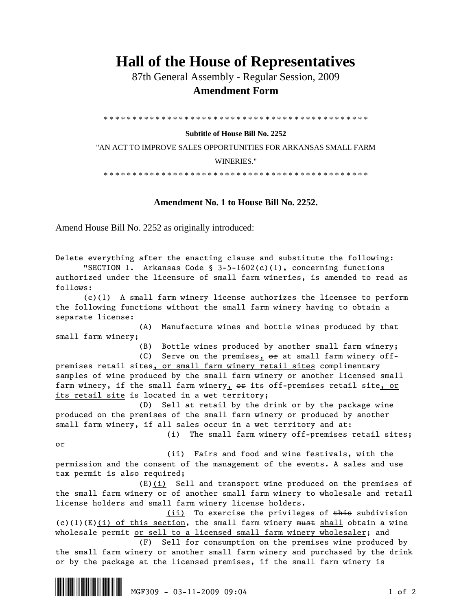## **Hall of the House of Representatives**

 87th General Assembly - Regular Session, 2009  **Amendment Form** 

\* \* \* \* \* \* \* \* \* \* \* \* \* \* \* \* \* \* \* \* \* \* \* \* \* \* \* \* \* \* \* \* \* \* \* \* \* \* \* \* \* \* \* \* \* \*

## **Subtitle of House Bill No. 2252**

"AN ACT TO IMPROVE SALES OPPORTUNITIES FOR ARKANSAS SMALL FARM WINERIES."

\* \* \* \* \* \* \* \* \* \* \* \* \* \* \* \* \* \* \* \* \* \* \* \* \* \* \* \* \* \* \* \* \* \* \* \* \* \* \* \* \* \* \* \* \* \*

## **Amendment No. 1 to House Bill No. 2252.**

Amend House Bill No. 2252 as originally introduced:

Delete everything after the enacting clause and substitute the following: "SECTION 1. Arkansas Code §  $3-5-1602(c)(1)$ , concerning functions authorized under the licensure of small farm wineries, is amended to read as follows: (c)(1) A small farm winery license authorizes the licensee to perform the following functions without the small farm winery having to obtain a separate license: (A) Manufacture wines and bottle wines produced by that small farm winery; (B) Bottle wines produced by another small farm winery; (C) Serve on the premises,  $e^{i\theta}$  at small farm winery offpremises retail sites, or small farm winery retail sites complimentary samples of wine produced by the small farm winery or another licensed small farm winery, if the small farm winery, or its off-premises retail site, or its retail site is located in a wet territory; (D) Sell at retail by the drink or by the package wine produced on the premises of the small farm winery or produced by another small farm winery, if all sales occur in a wet territory and at: (i) The small farm winery off-premises retail sites; or (ii) Fairs and food and wine festivals, with the permission and the consent of the management of the events. A sales and use tax permit is also required; (E)(i) Sell and transport wine produced on the premises of the small farm winery or of another small farm winery to wholesale and retail license holders and small farm winery license holders. (ii) To exercise the privileges of this subdivision  $(c)(1)(E)(i)$  of this section, the small farm winery must shall obtain a wine wholesale permit or sell to a licensed small farm winery wholesaler; and (F) Sell for consumption on the premises wine produced by the small farm winery or another small farm winery and purchased by the drink or by the package at the licensed premises, if the small farm winery is